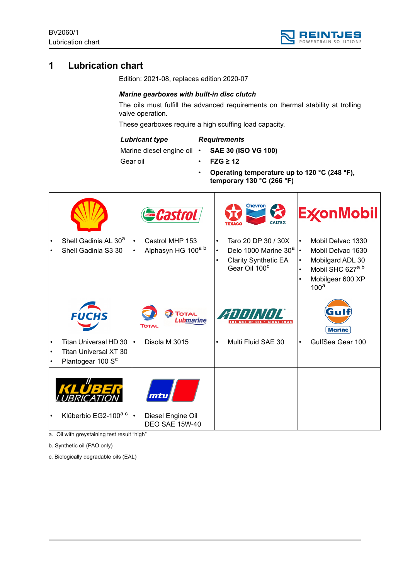

# **1 Lubrication chart**

Edition: 2021-08, replaces edition 2020-07

## *Marine gearboxes with built-in disc clutch*

The oils must fulfill the advanced requirements on thermal stability at trolling valve operation.

These gearboxes require a high scuffing load capacity.

#### *Lubricant type*

### *Requirements*

Marine diesel engine oil •

- **SAE 30 (ISO VG 100)** • **FZG ≥ 12**
- Gear oil
- **Operating temperature up to 120 °C (248 °F),** 
	- **temporary 130 °C (266 °F)**

|                        |                                                                                                 | <b>Castrol</b>                                                          | <b>Chevron</b><br><b>ExconMobil</b><br><b>CALTEX</b>                                                                                                                                                                                                                                                                                            |
|------------------------|-------------------------------------------------------------------------------------------------|-------------------------------------------------------------------------|-------------------------------------------------------------------------------------------------------------------------------------------------------------------------------------------------------------------------------------------------------------------------------------------------------------------------------------------------|
| $\bullet$<br>$\bullet$ | Shell Gadinia AL 30 <sup>a</sup><br>Shell Gadinia S3 30                                         | Castrol MHP 153<br>$\bullet$<br>Alphasyn HG 100a b                      | Taro 20 DP 30 / 30X<br>Mobil Delvac 1330<br>$\bullet$<br>Delo 1000 Marine 30 <sup>a</sup> $\cdot$<br>Mobil Delvac 1630<br>$\bullet$<br><b>Clarity Synthetic EA</b><br>Mobilgard ADL 30<br>$\bullet$<br>$\bullet$<br>Gear Oil 100 <sup>c</sup><br>Mobil SHC 627 <sup>a b</sup><br>$\bullet$<br>Mobilgear 600 XP<br>$\bullet$<br>100 <sup>a</sup> |
| $\bullet$<br>$\bullet$ | <b>FUCHS</b><br>Titan Universal HD 30<br>Titan Universal XT 30<br>Plantogear 100 S <sup>c</sup> | <b>TOTAL</b><br><b>Lubmarine</b><br>TOTAL<br>Disola M 3015<br>$\bullet$ | ZIJIJINITI<br><b>Marine</b><br>Multi Fluid SAE 30<br>GulfSea Gear 100<br>$\bullet$                                                                                                                                                                                                                                                              |
| $\bullet$              | Klüberbio EG2-100 <sup>a c</sup>                                                                | mtu<br>Diesel Engine Oil<br>$\bullet$<br><b>DEO SAE 15W-40</b>          |                                                                                                                                                                                                                                                                                                                                                 |

a. Oil with greystaining test result "high"

b. Synthetic oil (PAO only)

c. Biologically degradable oils (EAL)